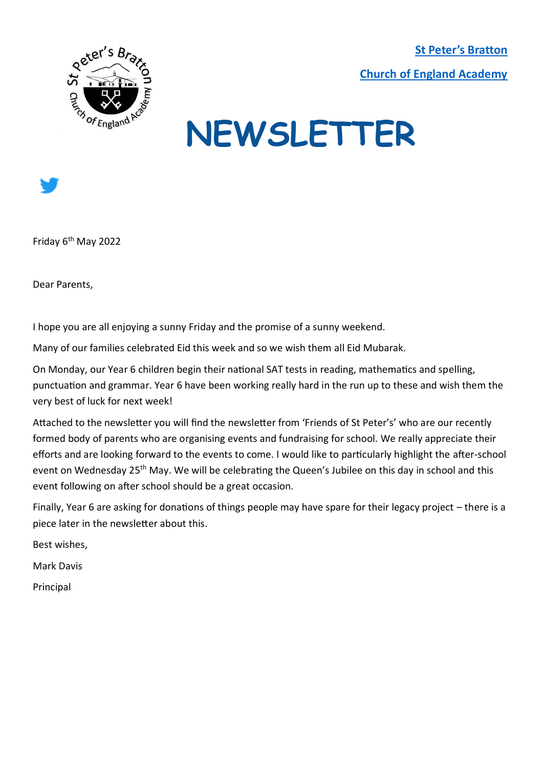**[St Peter's Bratton](https://www.brattonstpeters.org.uk/)  [Church of England Academy](https://www.brattonstpeters.org.uk/)**



# **NEWSLETTER**



Friday 6th May 2022

Dear Parents,

I hope you are all enjoying a sunny Friday and the promise of a sunny weekend.

Many of our families celebrated Eid this week and so we wish them all Eid Mubarak.

On Monday, our Year 6 children begin their national SAT tests in reading, mathematics and spelling, punctuation and grammar. Year 6 have been working really hard in the run up to these and wish them the very best of luck for next week!

Attached to the newsletter you will find the newsletter from 'Friends of St Peter's' who are our recently formed body of parents who are organising events and fundraising for school. We really appreciate their efforts and are looking forward to the events to come. I would like to particularly highlight the after-school event on Wednesday 25<sup>th</sup> May. We will be celebrating the Queen's Jubilee on this day in school and this event following on after school should be a great occasion.

Finally, Year 6 are asking for donations of things people may have spare for their legacy project – there is a piece later in the newsletter about this.

Best wishes,

Mark Davis

Principal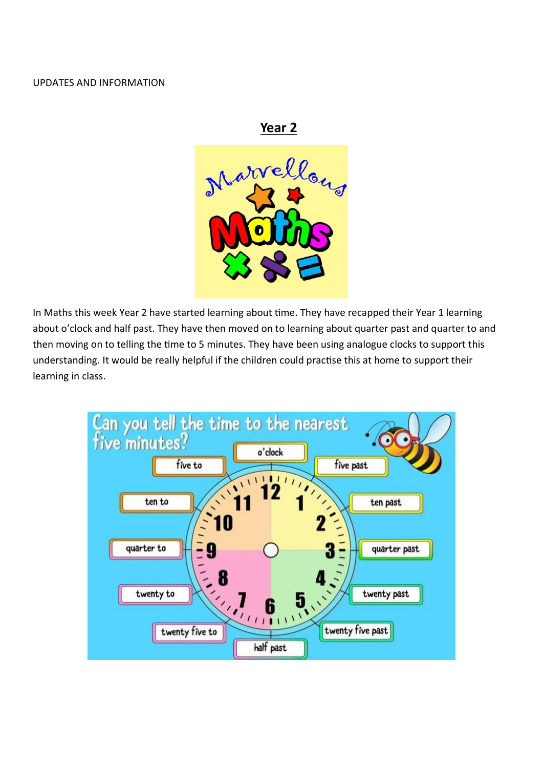#### UPDATES AND INFORMATION



In Maths this week Year 2 have started learning about time. They have recapped their Year 1 learning about o'clock and half past. They have then moved on to learning about quarter past and quarter to and then moving on to telling the time to 5 minutes. They have been using analogue clocks to support this understanding. It would be really helpful if the children could practise this at home to support their learning in class.

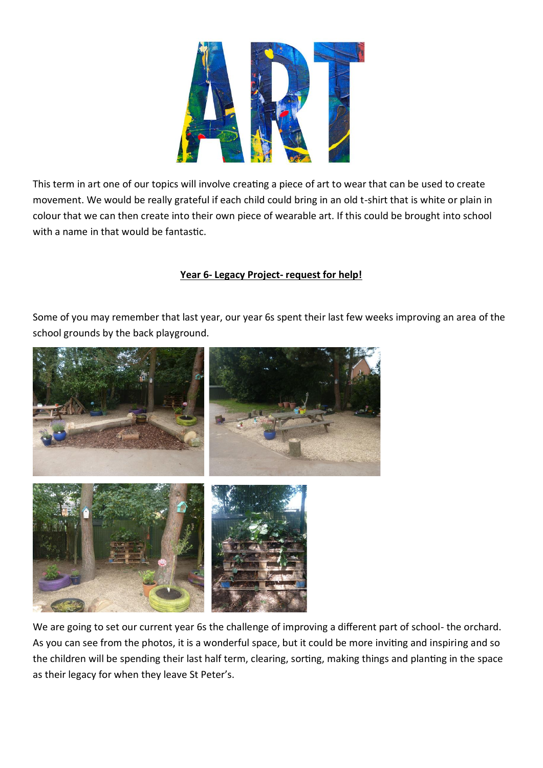

This term in art one of our topics will involve creating a piece of art to wear that can be used to create movement. We would be really grateful if each child could bring in an old t-shirt that is white or plain in colour that we can then create into their own piece of wearable art. If this could be brought into school with a name in that would be fantastic.

# **Year 6- Legacy Project- request for help!**

Some of you may remember that last year, our year 6s spent their last few weeks improving an area of the school grounds by the back playground.



We are going to set our current year 6s the challenge of improving a different part of school- the orchard. As you can see from the photos, it is a wonderful space, but it could be more inviting and inspiring and so the children will be spending their last half term, clearing, sorting, making things and planting in the space as their legacy for when they leave St Peter's.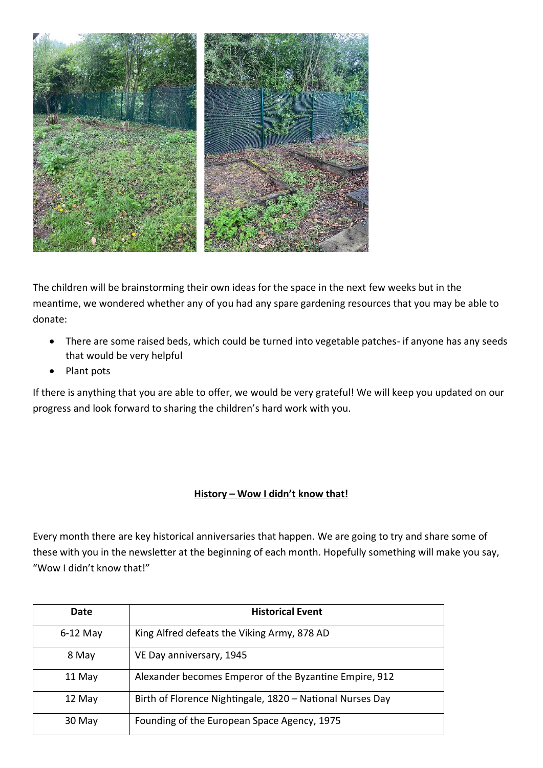

The children will be brainstorming their own ideas for the space in the next few weeks but in the meantime, we wondered whether any of you had any spare gardening resources that you may be able to donate:

- There are some raised beds, which could be turned into vegetable patches- if anyone has any seeds that would be very helpful
- Plant pots

If there is anything that you are able to offer, we would be very grateful! We will keep you updated on our progress and look forward to sharing the children's hard work with you.

# **History – Wow I didn't know that!**

Every month there are key historical anniversaries that happen. We are going to try and share some of these with you in the newsletter at the beginning of each month. Hopefully something will make you say, "Wow I didn't know that!"

| Date       | <b>Historical Event</b>                                   |
|------------|-----------------------------------------------------------|
| $6-12$ May | King Alfred defeats the Viking Army, 878 AD               |
| 8 May      | VE Day anniversary, 1945                                  |
| 11 May     | Alexander becomes Emperor of the Byzantine Empire, 912    |
| 12 May     | Birth of Florence Nightingale, 1820 - National Nurses Day |
| 30 May     | Founding of the European Space Agency, 1975               |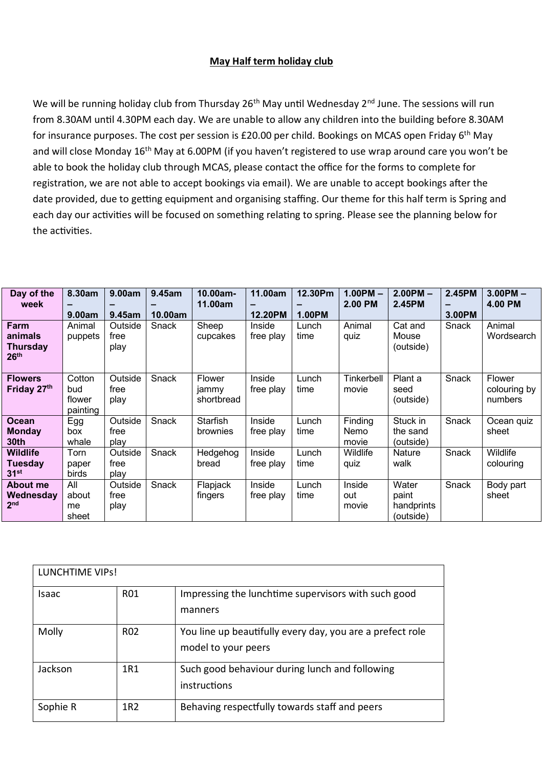### **May Half term holiday club**

We will be running holiday club from Thursday 26<sup>th</sup> May until Wednesday 2<sup>nd</sup> June. The sessions will run from 8.30AM until 4.30PM each day. We are unable to allow any children into the building before 8.30AM for insurance purposes. The cost per session is £20.00 per child. Bookings on MCAS open Friday  $6<sup>th</sup>$  May and will close Monday 16<sup>th</sup> May at 6.00PM (if you haven't registered to use wrap around care you won't be able to book the holiday club through MCAS, please contact the office for the forms to complete for registration, we are not able to accept bookings via email). We are unable to accept bookings after the date provided, due to getting equipment and organising staffing. Our theme for this half term is Spring and each day our activities will be focused on something relating to spring. Please see the planning below for the activities.

| Day of the       | 8.30am   | 9.00am  | 9.45am  | 10.00am-        | 11.00am   | 12.30Pm       | $1.00PM -$ | $2.00PM -$    | 2.45PM | $3.00$ PM $-$ |
|------------------|----------|---------|---------|-----------------|-----------|---------------|------------|---------------|--------|---------------|
| week             |          |         |         | 11.00am         |           |               | 2.00 PM    | 2.45PM        |        | 4.00 PM       |
|                  | 9.00am   | 9.45am  | 10.00am |                 | 12.20PM   | <b>1.00PM</b> |            |               | 3.00PM |               |
| Farm             | Animal   | Outside | Snack   | Sheep           | Inside    | Lunch         | Animal     | Cat and       | Snack  | Animal        |
| animals          | puppets  | free    |         | cupcakes        | free play | time          | quiz       | Mouse         |        | Wordsearch    |
| <b>Thursday</b>  |          | play    |         |                 |           |               |            | (outside)     |        |               |
| 26 <sup>th</sup> |          |         |         |                 |           |               |            |               |        |               |
|                  |          |         |         |                 |           |               |            |               |        |               |
| <b>Flowers</b>   | Cotton   | Outside | Snack   | Flower          | Inside    | Lunch         | Tinkerbell | Plant a       | Snack  | Flower        |
| Friday 27th      | bud      | free    |         | jammy           | free play | time          | movie      | seed          |        | colouring by  |
|                  | flower   | play    |         | shortbread      |           |               |            | (outside)     |        | numbers       |
|                  | painting |         |         |                 |           |               |            |               |        |               |
| <b>Ocean</b>     | Egg      | Outside | Snack   | Starfish        | Inside    | Lunch         | Finding    | Stuck in      | Snack  | Ocean quiz    |
| <b>Monday</b>    | box      | free    |         | <b>brownies</b> | free play | time          | Nemo       | the sand      |        | sheet         |
| 30 <sub>th</sub> | whale    | play    |         |                 |           |               | movie      | (outside)     |        |               |
| <b>Wildlife</b>  | Torn     | Outside | Snack   | Hedgehog        | Inside    | Lunch         | Wildlife   | <b>Nature</b> | Snack  | Wildlife      |
| Tuesday          | paper    | free    |         | bread           | free play | time          | quiz       | walk          |        | colouring     |
| 31 <sup>st</sup> | birds    | play    |         |                 |           |               |            |               |        |               |
| About me         | All      | Outside | Snack   | Flapjack        | Inside    | Lunch         | Inside     | Water         | Snack  | Body part     |
| Wednesday        | about    | free    |         | fingers         | free play | time          | out        | paint         |        | sheet         |
| 2 <sub>nd</sub>  | me       | play    |         |                 |           |               | movie      | handprints    |        |               |
|                  | sheet    |         |         |                 |           |               |            | (outside)     |        |               |

| LUNCHTIME VIPS! |                 |                                                                                  |
|-----------------|-----------------|----------------------------------------------------------------------------------|
| Isaac           | <b>R01</b>      | Impressing the lunchtime supervisors with such good<br>manners                   |
| Molly           | R <sub>02</sub> | You line up beautifully every day, you are a prefect role<br>model to your peers |
| Jackson         | 1R1             | Such good behaviour during lunch and following<br>instructions                   |
| Sophie R        | 1R2             | Behaving respectfully towards staff and peers                                    |